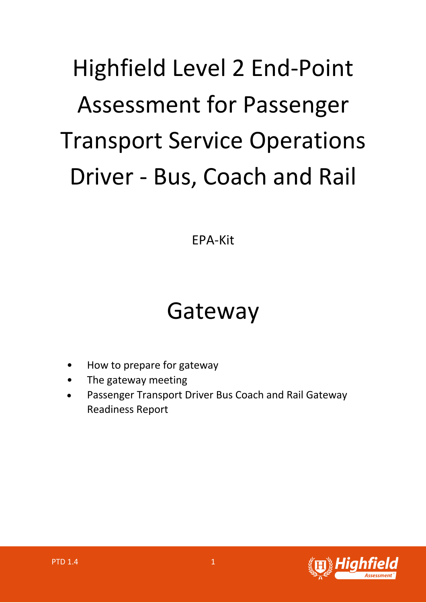# Highfield Level 2 End-Point Assessment for Passenger Transport Service Operations Driver - Bus, Coach and Rail

EPA-Kit

# Gateway

- How to prepare for gateway
- The gateway meeting
- Passenger Transport Driver Bus Coach and Rail Gateway Readiness Report

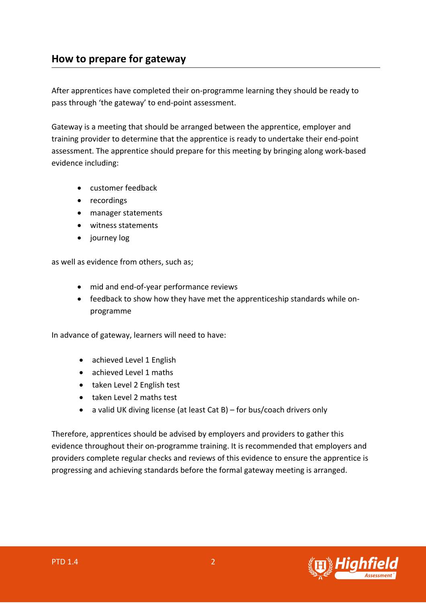## **How to prepare for gateway**

After apprentices have completed their on-programme learning they should be ready to pass through 'the gateway' to end-point assessment.

Gateway is a meeting that should be arranged between the apprentice, employer and training provider to determine that the apprentice is ready to undertake their end-point assessment. The apprentice should prepare for this meeting by bringing along work-based evidence including:

- customer feedback
- recordings
- manager statements
- witness statements
- journey log

as well as evidence from others, such as;

- mid and end-of-year performance reviews
- feedback to show how they have met the apprenticeship standards while onprogramme

In advance of gateway, learners will need to have:

- achieved Level 1 English
- achieved Level 1 maths
- taken Level 2 English test
- taken Level 2 maths test
- a valid UK diving license (at least Cat B) for bus/coach drivers only

Therefore, apprentices should be advised by employers and providers to gather this evidence throughout their on-programme training. It is recommended that employers and providers complete regular checks and reviews of this evidence to ensure the apprentice is progressing and achieving standards before the formal gateway meeting is arranged.